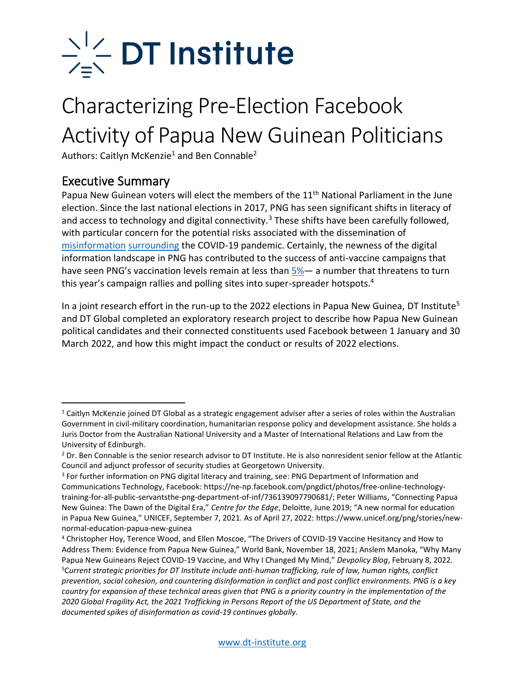

### Characterizing Pre-Election Facebook Activity of Papua New Guinean Politicians

Authors: Caitlyn McKenzie<sup>1</sup> and Ben Connable<sup>2</sup>

### Executive Summary

Papua New Guinean voters will elect the members of the 11<sup>th</sup> National Parliament in the June election. Since the last national elections in 2017, PNG has seen significant shifts in literacy of and access to technology and digital connectivity.<sup>3</sup> These shifts have been carefully followed, with particular concern for the potential risks associated with the dissemination of [misinformation](https://www.policyforum.net/papua-new-guineas-pandemic-election/) [surrounding](https://www.youtube.com/watch?v=eYsvp83ShO0) the COVID-19 pandemic. Certainly, the newness of the digital information landscape in PNG has contributed to the success of anti-vaccine campaigns that have seen PNG's vaccination levels remain at less than  $5\%$  an anumber that threatens to turn this year's campaign rallies and polling sites into super-spreader hotspots.<sup>4</sup>

In a joint research effort in the run-up to the 2022 elections in Papua New Guinea, DT Institute<sup>5</sup> and DT Global completed an exploratory research project to describe how Papua New Guinean political candidates and their connected constituents used Facebook between 1 January and 30 March 2022, and how this might impact the conduct or results of 2022 elections.

<sup>1</sup> Caitlyn McKenzie joined DT Global as a strategic engagement adviser after a series of roles within the Australian Government in civil-military coordination, humanitarian response policy and development assistance. She holds a Juris Doctor from the Australian National University and a Master of International Relations and Law from the University of Edinburgh.

<sup>&</sup>lt;sup>2</sup> Dr. Ben Connable is the senior research advisor to DT Institute. He is also nonresident senior fellow at the Atlantic Council and adjunct professor of security studies at Georgetown University.

<sup>&</sup>lt;sup>3</sup> For further information on PNG digital literacy and training, see: PNG Department of Information and Communications Technology, Facebook: https://ne-np.facebook.com/pngdict/photos/free-online-technologytraining-for-all-public-servantsthe-png-department-of-inf/736139097790681/; Peter Williams, "Connecting Papua New Guinea: The Dawn of the Digital Era," *Centre for the Edge*, Deloitte, June 2019; "A new normal for education in Papua New Guinea," UNICEF, September 7, 2021. As of April 27, 2022: https://www.unicef.org/png/stories/newnormal-education-papua-new-guinea

<sup>4</sup> Christopher Hoy, Terence Wood, and Ellen Moscoe, "The Drivers of COVID-19 Vaccine Hesitancy and How to Address Them: Evidence from Papua New Guinea," World Bank, November 18, 2021; Anslem Manoka, "Why Many Papua New Guineans Reject COVID-19 Vaccine, and Why I Changed My Mind," *Devpolicy Blog*, February 8, 2022. <sup>5</sup>C*urrent strategic priorities for DT Institute include anti-human trafficking, rule of law, human rights, conflict prevention, social cohesion, and countering disinformation in conflict and post conflict environments. PNG is a key country for expansion of these technical areas given that PNG is a priority country in the implementation of the 2020 Global Fragility Act, the 2021 Trafficking in Persons Report of the US Department of State, and the documented spikes of disinformation as covid-19 continues globally.*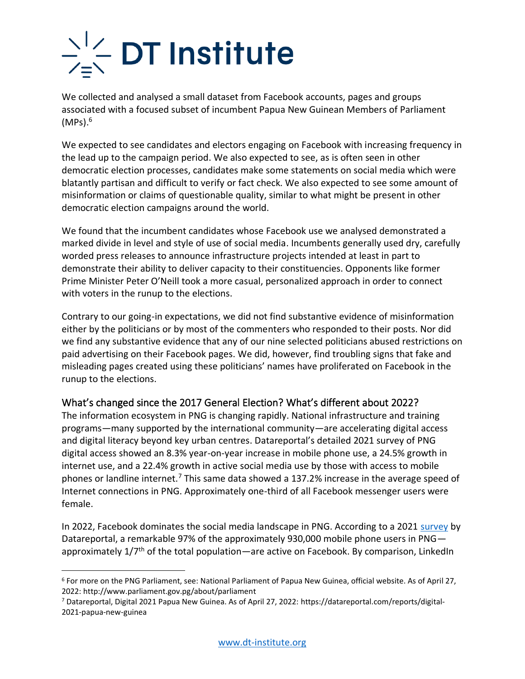We collected and analysed a small dataset from Facebook accounts, pages and groups associated with a focused subset of incumbent Papua New Guinean Members of Parliament  $(MPs).<sup>6</sup>$ 

We expected to see candidates and electors engaging on Facebook with increasing frequency in the lead up to the campaign period. We also expected to see, as is often seen in other democratic election processes, candidates make some statements on social media which were blatantly partisan and difficult to verify or fact check. We also expected to see some amount of misinformation or claims of questionable quality, similar to what might be present in other democratic election campaigns around the world.

We found that the incumbent candidates whose Facebook use we analysed demonstrated a marked divide in level and style of use of social media. Incumbents generally used dry, carefully worded press releases to announce infrastructure projects intended at least in part to demonstrate their ability to deliver capacity to their constituencies. Opponents like former Prime Minister Peter O'Neill took a more casual, personalized approach in order to connect with voters in the runup to the elections.

Contrary to our going-in expectations, we did not find substantive evidence of misinformation either by the politicians or by most of the commenters who responded to their posts. Nor did we find any substantive evidence that any of our nine selected politicians abused restrictions on paid advertising on their Facebook pages. We did, however, find troubling signs that fake and misleading pages created using these politicians' names have proliferated on Facebook in the runup to the elections.

#### What's changed since the 2017 General Election? What's different about 2022?

The information ecosystem in PNG is changing rapidly. National infrastructure and training programs—many supported by the international community—are accelerating digital access and digital literacy beyond key urban centres. Datareportal's detailed 2021 survey of PNG digital access showed an 8.3% year-on-year increase in mobile phone use, a 24.5% growth in internet use, and a 22.4% growth in active social media use by those with access to mobile phones or landline internet.<sup>7</sup> This same data showed a 137.2% increase in the average speed of Internet connections in PNG. Approximately one-third of all Facebook messenger users were female.

In 2022, Facebook dominates the social media landscape in PNG. According to a 2021 [survey](https://datareportal.com/reports/digital-2021-papua-new-guinea) by Datareportal, a remarkable 97% of the approximately 930,000 mobile phone users in PNG approximately  $1/7<sup>th</sup>$  of the total population—are active on Facebook. By comparison, LinkedIn

<sup>6</sup> For more on the PNG Parliament, see: National Parliament of Papua New Guinea, official website. As of April 27, 2022: http://www.parliament.gov.pg/about/parliament

<sup>7</sup> Datareportal, Digital 2021 Papua New Guinea. As of April 27, 2022: https://datareportal.com/reports/digital-2021-papua-new-guinea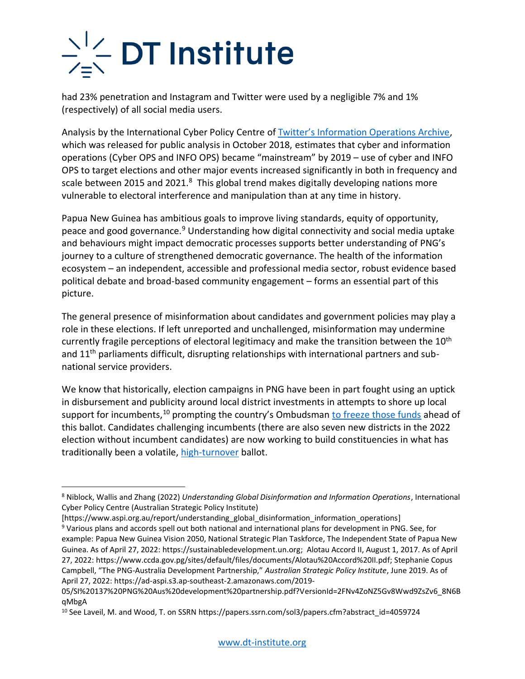had 23% penetration and Instagram and Twitter were used by a negligible 7% and 1% (respectively) of all social media users.

Analysis by the International Cyber Policy Centre of [Twitter's Information Operations Archive](https://transparency.twitter.com/en/reports/information-operations.html), which was released for public analysis in October 2018, estimates that cyber and information operations (Cyber OPS and INFO OPS) became "mainstream" by 2019 – use of cyber and INFO OPS to target elections and other major events increased significantly in both in frequency and scale between 2015 and 2021.<sup>8</sup> This global trend makes digitally developing nations more vulnerable to electoral interference and manipulation than at any time in history.

Papua New Guinea has ambitious goals to improve living standards, equity of opportunity, peace and good governance.<sup>9</sup> Understanding how digital connectivity and social media uptake and behaviours might impact democratic processes supports better understanding of PNG's journey to a culture of strengthened democratic governance. The health of the information ecosystem – an independent, accessible and professional media sector, robust evidence based political debate and broad-based community engagement – forms an essential part of this picture.

The general presence of misinformation about candidates and government policies may play a role in these elections. If left unreported and unchallenged, misinformation may undermine currently fragile perceptions of electoral legitimacy and make the transition between the  $10<sup>th</sup>$ and 11<sup>th</sup> parliaments difficult, disrupting relationships with international partners and subnational service providers.

We know that historically, election campaigns in PNG have been in part fought using an uptick in disbursement and publicity around local district investments in attempts to shore up local support for incumbents,<sup>10</sup> prompting the country's Ombudsman [to freeze those funds](https://twitter.com/BelindaKora1/status/1518735141300244480) ahead of this ballot. Candidates challenging incumbents (there are also seven new districts in the 2022 election without incumbent candidates) are now working to build constituencies in what has traditionally been a volatile, [high-turnover](https://www.lowyinstitute.org/the-interpreter/png-s-2022-election-takes-shape) ballot.

[https://www.aspi.org.au/report/understanding\_global\_disinformation\_information\_operations]

<sup>8</sup> Niblock, Wallis and Zhang (2022) *Understanding Global Disinformation and Information Operations*, International Cyber Policy Centre (Australian Strategic Policy Institute)

<sup>9</sup> Various plans and accords spell out both national and international plans for development in PNG. See, for example: Papua New Guinea Vision 2050, National Strategic Plan Taskforce, The Independent State of Papua New Guinea. As of April 27, 2022: https://sustainabledevelopment.un.org; Alotau Accord II, August 1, 2017. As of April 27, 2022: https://www.ccda.gov.pg/sites/default/files/documents/Alotau%20Accord%20II.pdf; Stephanie Copus Campbell, "The PNG-Australia Development Partnership," *Australian Strategic Policy Institute*, June 2019. As of April 27, 2022: https://ad-aspi.s3.ap-southeast-2.amazonaws.com/2019-

<sup>05/</sup>SI%20137%20PNG%20Aus%20development%20partnership.pdf?VersionId=2FNv4ZoNZ5Gv8Wwd9ZsZv6\_8N6B qMbgA

<sup>10</sup> See Laveil, M. and Wood, T. on SSRN https://papers.ssrn.com/sol3/papers.cfm?abstract\_id=4059724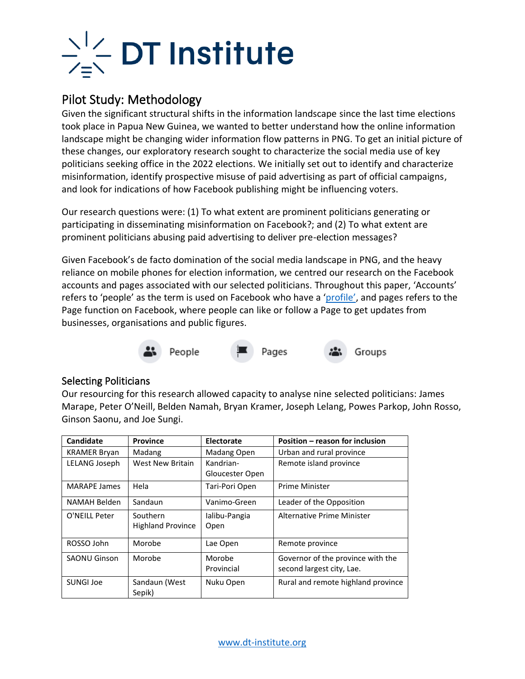

### Pilot Study: Methodology

Given the significant structural shifts in the information landscape since the last time elections took place in Papua New Guinea, we wanted to better understand how the online information landscape might be changing wider information flow patterns in PNG. To get an initial picture of these changes, our exploratory research sought to characterize the social media use of key politicians seeking office in the 2022 elections. We initially set out to identify and characterize misinformation, identify prospective misuse of paid advertising as part of official campaigns, and look for indications of how Facebook publishing might be influencing voters.

Our research questions were: (1) To what extent are prominent politicians generating or participating in disseminating misinformation on Facebook?; and (2) To what extent are prominent politicians abusing paid advertising to deliver pre-election messages?

Given Facebook's de facto domination of the social media landscape in PNG, and the heavy reliance on mobile phones for election information, we centred our research on the Facebook accounts and pages associated with our selected politicians. Throughout this paper, 'Accounts' refers to 'people' as the term is used on Facebook who have a ['profile'](https://www.facebook.com/help/396528481579093/?helpref=hc_fnav), and pages refers to the Page function on Facebook, where people can like or follow a Page to get updates from businesses, organisations and public figures.



#### Selecting Politicians

Our resourcing for this research allowed capacity to analyse nine selected politicians: James Marape, Peter O'Neill, Belden Namah, Bryan Kramer, Joseph Lelang, Powes Parkop, John Rosso, Ginson Saonu, and Joe Sungi.

| <b>Candidate</b>    | <b>Province</b>          | Electorate      | Position – reason for inclusion    |
|---------------------|--------------------------|-----------------|------------------------------------|
| <b>KRAMER Bryan</b> | Madang                   | Madang Open     | Urban and rural province           |
| LELANG Joseph       | West New Britain         | Kandrian-       | Remote island province             |
|                     |                          | Gloucester Open |                                    |
| <b>MARAPE James</b> | Hela                     | Tari-Pori Open  | <b>Prime Minister</b>              |
| NAMAH Belden        | Sandaun                  | Vanimo-Green    | Leader of the Opposition           |
| O'NEILL Peter       | Southern                 | Ialibu-Pangia   | <b>Alternative Prime Minister</b>  |
|                     | <b>Highland Province</b> | Open            |                                    |
| ROSSO John          | Morobe                   | Lae Open        | Remote province                    |
| <b>SAONU Ginson</b> | Morobe                   | Morobe          | Governor of the province with the  |
|                     |                          | Provincial      | second largest city, Lae.          |
| <b>SUNGI Joe</b>    | Sandaun (West            | Nuku Open       | Rural and remote highland province |
|                     | Sepik)                   |                 |                                    |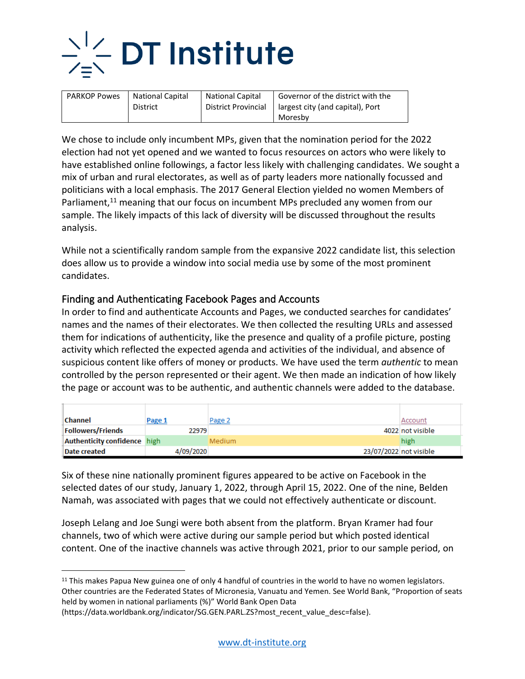

| <b>PARKOP Powes</b> | <b>National Capital</b> | <b>National Capital</b> | Governor of the district with the |
|---------------------|-------------------------|-------------------------|-----------------------------------|
|                     | <b>District</b>         | District Provincial     | largest city (and capital), Port  |
|                     |                         |                         | Moresby                           |

We chose to include only incumbent MPs, given that the nomination period for the 2022 election had not yet opened and we wanted to focus resources on actors who were likely to have established online followings, a factor less likely with challenging candidates. We sought a mix of urban and rural electorates, as well as of party leaders more nationally focussed and politicians with a local emphasis. The 2017 General Election yielded no women Members of Parliament,<sup>11</sup> meaning that our focus on incumbent MPs precluded any women from our sample. The likely impacts of this lack of diversity will be discussed throughout the results analysis.

While not a scientifically random sample from the expansive 2022 candidate list, this selection does allow us to provide a window into social media use by some of the most prominent candidates.

#### Finding and Authenticating Facebook Pages and Accounts

In order to find and authenticate Accounts and Pages, we conducted searches for candidates' names and the names of their electorates. We then collected the resulting URLs and assessed them for indications of authenticity, like the presence and quality of a profile picture, posting activity which reflected the expected agenda and activities of the individual, and absence of suspicious content like offers of money or products. We have used the term *authentic* to mean controlled by the person represented or their agent. We then made an indication of how likely the page or account was to be authentic, and authentic channels were added to the database.

| <b>Channel</b>               | Page 1    | Page 2                 | Account          |
|------------------------------|-----------|------------------------|------------------|
| <b>Followers/Friends</b>     | 22979     |                        | 4022 not visible |
| Authenticity confidence high |           | <b>Medium</b>          | high             |
| Date created                 | 4/09/2020 | 23/07/2022 not visible |                  |

Six of these nine nationally prominent figures appeared to be active on Facebook in the selected dates of our study, January 1, 2022, through April 15, 2022. One of the nine, Belden Namah, was associated with pages that we could not effectively authenticate or discount.

Joseph Lelang and Joe Sungi were both absent from the platform. Bryan Kramer had four channels, two of which were active during our sample period but which posted identical content. One of the inactive channels was active through 2021, prior to our sample period, on

<sup>&</sup>lt;sup>11</sup> This makes Papua New guinea one of only 4 handful of countries in the world to have no women legislators. Other countries are the Federated States of Micronesia, Vanuatu and Yemen. See World Bank, "Proportion of seats held by women in national parliaments (%)" World Bank Open Data

<sup>(</sup>https://data.worldbank.org/indicator/SG.GEN.PARL.ZS?most\_recent\_value\_desc=false).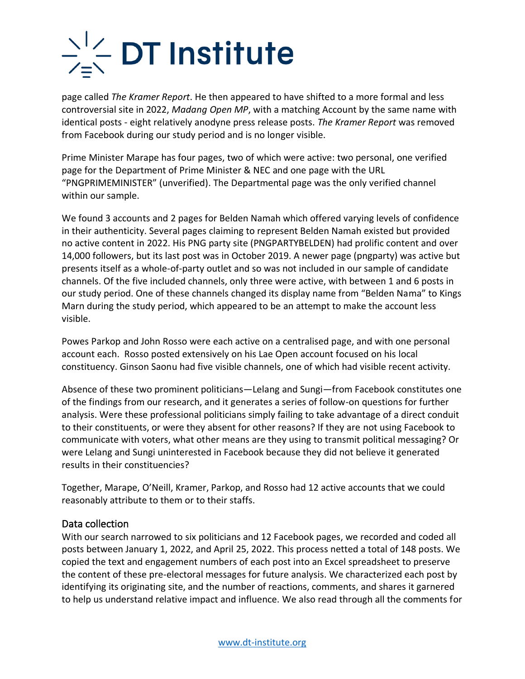page called *The Kramer Report*. He then appeared to have shifted to a more formal and less controversial site in 2022, *Madang Open MP*, with a matching Account by the same name with identical posts - eight relatively anodyne press release posts. *The Kramer Report* was removed from Facebook during our study period and is no longer visible.

Prime Minister Marape has four pages, two of which were active: two personal, one verified page for the Department of Prime Minister & NEC and one page with the URL "PNGPRIMEMINISTER" (unverified). The Departmental page was the only verified channel within our sample.

We found 3 accounts and 2 pages for Belden Namah which offered varying levels of confidence in their authenticity. Several pages claiming to represent Belden Namah existed but provided no active content in 2022. His PNG party site (PNGPARTYBELDEN) had prolific content and over 14,000 followers, but its last post was in October 2019. A newer page (pngparty) was active but presents itself as a whole-of-party outlet and so was not included in our sample of candidate channels. Of the five included channels, only three were active, with between 1 and 6 posts in our study period. One of these channels changed its display name from "Belden Nama" to Kings Marn during the study period, which appeared to be an attempt to make the account less visible.

Powes Parkop and John Rosso were each active on a centralised page, and with one personal account each. Rosso posted extensively on his Lae Open account focused on his local constituency. Ginson Saonu had five visible channels, one of which had visible recent activity.

Absence of these two prominent politicians—Lelang and Sungi—from Facebook constitutes one of the findings from our research, and it generates a series of follow-on questions for further analysis. Were these professional politicians simply failing to take advantage of a direct conduit to their constituents, or were they absent for other reasons? If they are not using Facebook to communicate with voters, what other means are they using to transmit political messaging? Or were Lelang and Sungi uninterested in Facebook because they did not believe it generated results in their constituencies?

Together, Marape, O'Neill, Kramer, Parkop, and Rosso had 12 active accounts that we could reasonably attribute to them or to their staffs.

#### Data collection

With our search narrowed to six politicians and 12 Facebook pages, we recorded and coded all posts between January 1, 2022, and April 25, 2022. This process netted a total of 148 posts. We copied the text and engagement numbers of each post into an Excel spreadsheet to preserve the content of these pre-electoral messages for future analysis. We characterized each post by identifying its originating site, and the number of reactions, comments, and shares it garnered to help us understand relative impact and influence. We also read through all the comments for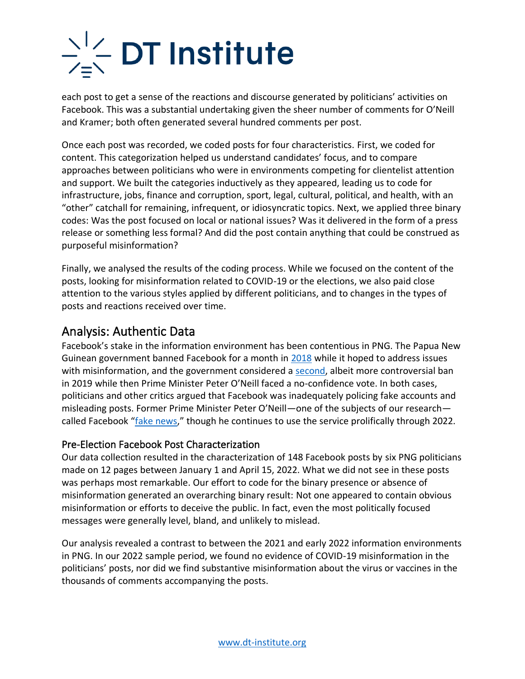# $\sum_{i=1}^{n}$  DT Institute

each post to get a sense of the reactions and discourse generated by politicians' activities on Facebook. This was a substantial undertaking given the sheer number of comments for O'Neill and Kramer; both often generated several hundred comments per post.

Once each post was recorded, we coded posts for four characteristics. First, we coded for content. This categorization helped us understand candidates' focus, and to compare approaches between politicians who were in environments competing for clientelist attention and support. We built the categories inductively as they appeared, leading us to code for infrastructure, jobs, finance and corruption, sport, legal, cultural, political, and health, with an "other" catchall for remaining, infrequent, or idiosyncratic topics. Next, we applied three binary codes: Was the post focused on local or national issues? Was it delivered in the form of a press release or something less formal? And did the post contain anything that could be construed as purposeful misinformation?

Finally, we analysed the results of the coding process. While we focused on the content of the posts, looking for misinformation related to COVID-19 or the elections, we also paid close attention to the various styles applied by different politicians, and to changes in the types of posts and reactions received over time.

### Analysis: Authentic Data

Facebook's stake in the information environment has been contentious in PNG. The Papua New Guinean government banned Facebook for a month in [2018](https://www.theguardian.com/world/2018/may/29/papua-new-guinea-facebook-ban-study-fake-users) while it hoped to address issues with misinformation, and the government considered a [second,](https://www.theguardian.com/world/2019/may/16/png-government-may-restrict-facebook-as-pm-faces-no-confidence-motion) albeit more controversial ban in 2019 while then Prime Minister Peter O'Neill faced a no-confidence vote. In both cases, politicians and other critics argued that Facebook was inadequately policing fake accounts and misleading posts. Former Prime Minister Peter O'Neill—one of the subjects of our research called Facebook "[fake news](https://www.thenational.com.pg/the-fake-news-blame-game/)," though he continues to use the service prolifically through 2022.

#### Pre-Election Facebook Post Characterization

Our data collection resulted in the characterization of 148 Facebook posts by six PNG politicians made on 12 pages between January 1 and April 15, 2022. What we did not see in these posts was perhaps most remarkable. Our effort to code for the binary presence or absence of misinformation generated an overarching binary result: Not one appeared to contain obvious misinformation or efforts to deceive the public. In fact, even the most politically focused messages were generally level, bland, and unlikely to mislead.

Our analysis revealed a contrast to between the 2021 and early 2022 information environments in PNG. In our 2022 sample period, we found no evidence of COVID-19 misinformation in the politicians' posts, nor did we find substantive misinformation about the virus or vaccines in the thousands of comments accompanying the posts.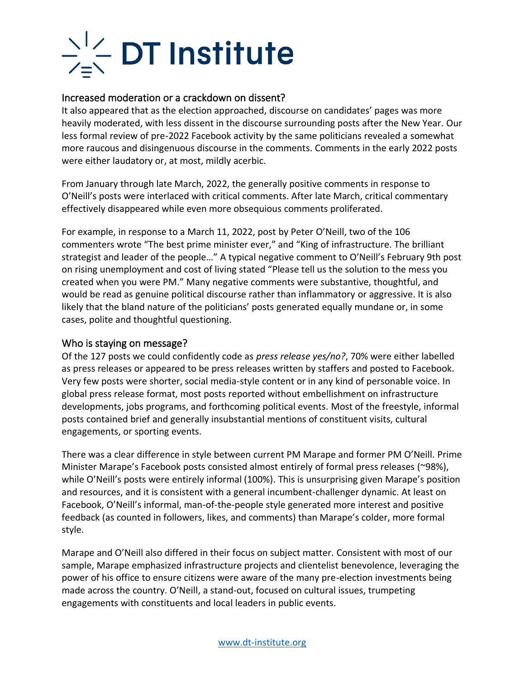# $\sum_{i=1}^{n}$  DT Institute

#### Increased moderation or a crackdown on dissent?

It also appeared that as the election approached, discourse on candidates' pages was more heavily moderated, with less dissent in the discourse surrounding posts after the New Year. Our less formal review of pre-2022 Facebook activity by the same politicians revealed a somewhat more raucous and disingenuous discourse in the comments. Comments in the early 2022 posts were either laudatory or, at most, mildly acerbic.

From January through late March, 2022, the generally positive comments in response to O'Neill's posts were interlaced with critical comments. After late March, critical commentary effectively disappeared while even more obsequious comments proliferated.

For example, in response to a March 11, 2022, post by Peter O'Neill, two of the 106 commenters wrote "The best prime minister ever," and "King of infrastructure. The brilliant strategist and leader of the people…" A typical negative comment to O'Neill's February 9th post on rising unemployment and cost of living stated "Please tell us the solution to the mess you created when you were PM." Many negative comments were substantive, thoughtful, and would be read as genuine political discourse rather than inflammatory or aggressive. It is also likely that the bland nature of the politicians' posts generated equally mundane or, in some cases, polite and thoughtful questioning.

#### Who is staying on message?

Of the 127 posts we could confidently code as *press release yes/no?*, 70% were either labelled as press releases or appeared to be press releases written by staffers and posted to Facebook. Very few posts were shorter, social media-style content or in any kind of personable voice. In global press release format, most posts reported without embellishment on infrastructure developments, jobs programs, and forthcoming political events. Most of the freestyle, informal posts contained brief and generally insubstantial mentions of constituent visits, cultural engagements, or sporting events.

There was a clear difference in style between current PM Marape and former PM O'Neill. Prime Minister Marape's Facebook posts consisted almost entirely of formal press releases (~98%), while O'Neill's posts were entirely informal (100%). This is unsurprising given Marape's position and resources, and it is consistent with a general incumbent-challenger dynamic. At least on Facebook, O'Neill's informal, man-of-the-people style generated more interest and positive feedback (as counted in followers, likes, and comments) than Marape's colder, more formal style.

Marape and O'Neill also differed in their focus on subject matter. Consistent with most of our sample, Marape emphasized infrastructure projects and clientelist benevolence, leveraging the power of his office to ensure citizens were aware of the many pre-election investments being made across the country. O'Neill, a stand-out, focused on cultural issues, trumpeting engagements with constituents and local leaders in public events.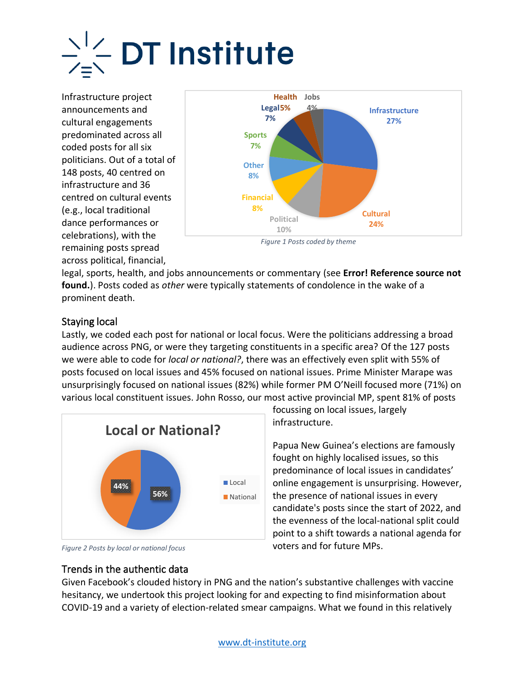Infrastructure project announcements and cultural engagements predominated across all coded posts for all six politicians. Out of a total of 148 posts, 40 centred on infrastructure and 36 centred on cultural events (e.g., local traditional dance performances or celebrations), with the remaining posts spread across political, financial,



*Figure 1 Posts coded by theme*

legal, sports, health, and jobs announcements or commentary (see **Error! Reference source not found.**). Posts coded as *other* were typically statements of condolence in the wake of a prominent death.

#### Staying local

Lastly, we coded each post for national or local focus. Were the politicians addressing a broad audience across PNG, or were they targeting constituents in a specific area? Of the 127 posts we were able to code for *local or national?*, there was an effectively even split with 55% of posts focused on local issues and 45% focused on national issues. Prime Minister Marape was unsurprisingly focused on national issues (82%) while former PM O'Neill focused more (71%) on various local constituent issues. John Rosso, our most active provincial MP, spent 81% of posts



*Figure 2 Posts by local or national focus*

Trends in the authentic data

focussing on local issues, largely infrastructure.

Papua New Guinea's elections are famously fought on highly localised issues, so this predominance of local issues in candidates' online engagement is unsurprising. However, the presence of national issues in every candidate's posts since the start of 2022, and the evenness of the local-national split could point to a shift towards a national agenda for voters and for future MPs.

Given Facebook's clouded history in PNG and the nation's substantive challenges with vaccine hesitancy, we undertook this project looking for and expecting to find misinformation about COVID-19 and a variety of election-related smear campaigns. What we found in this relatively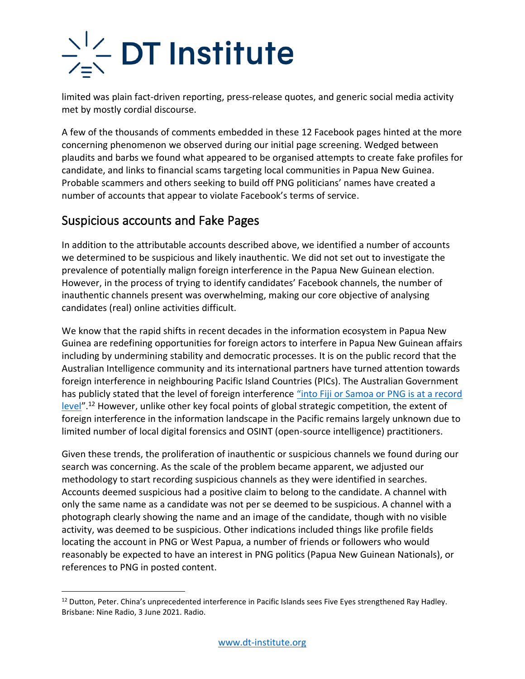limited was plain fact-driven reporting, press-release quotes, and generic social media activity met by mostly cordial discourse.

A few of the thousands of comments embedded in these 12 Facebook pages hinted at the more concerning phenomenon we observed during our initial page screening. Wedged between plaudits and barbs we found what appeared to be organised attempts to create fake profiles for candidate, and links to financial scams targeting local communities in Papua New Guinea. Probable scammers and others seeking to build off PNG politicians' names have created a number of accounts that appear to violate Facebook's terms of service.

### Suspicious accounts and Fake Pages

In addition to the attributable accounts described above, we identified a number of accounts we determined to be suspicious and likely inauthentic. We did not set out to investigate the prevalence of potentially malign foreign interference in the Papua New Guinean election. However, in the process of trying to identify candidates' Facebook channels, the number of inauthentic channels present was overwhelming, making our core objective of analysing candidates (real) online activities difficult.

We know that the rapid shifts in recent decades in the information ecosystem in Papua New Guinea are redefining opportunities for foreign actors to interfere in Papua New Guinean affairs including by undermining stability and democratic processes. It is on the public record that the Australian Intelligence community and its international partners have turned attention towards foreign interference in neighbouring Pacific Island Countries (PICs). The Australian Government has publicly stated that the level of foreign interference "into Fiji or Samoa or PNG is at a record [level](https://www.4bc.com.au/chinas-unprecedented-interference-in-pacific-islands-sees-five-eyes-strengthened/)".<sup>12</sup> However, unlike other key focal points of global strategic competition, the extent of foreign interference in the information landscape in the Pacific remains largely unknown due to limited number of local digital forensics and OSINT (open-source intelligence) practitioners.

Given these trends, the proliferation of inauthentic or suspicious channels we found during our search was concerning. As the scale of the problem became apparent, we adjusted our methodology to start recording suspicious channels as they were identified in searches. Accounts deemed suspicious had a positive claim to belong to the candidate. A channel with only the same name as a candidate was not per se deemed to be suspicious. A channel with a photograph clearly showing the name and an image of the candidate, though with no visible activity, was deemed to be suspicious. Other indications included things like profile fields locating the account in PNG or West Papua, a number of friends or followers who would reasonably be expected to have an interest in PNG politics (Papua New Guinean Nationals), or references to PNG in posted content.

<sup>&</sup>lt;sup>12</sup> Dutton, Peter. China's unprecedented interference in Pacific Islands sees Five Eyes strengthened Ray Hadley. Brisbane: Nine Radio, 3 June 2021. Radio.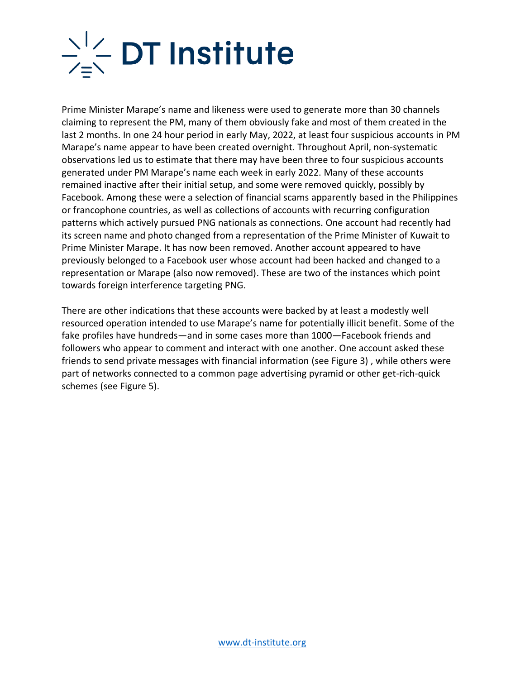

Prime Minister Marape's name and likeness were used to generate more than 30 channels claiming to represent the PM, many of them obviously fake and most of them created in the last 2 months. In one 24 hour period in early May, 2022, at least four suspicious accounts in PM Marape's name appear to have been created overnight. Throughout April, non-systematic observations led us to estimate that there may have been three to four suspicious accounts generated under PM Marape's name each week in early 2022. Many of these accounts remained inactive after their initial setup, and some were removed quickly, possibly by Facebook. Among these were a selection of financial scams apparently based in the Philippines or francophone countries, as well as collections of accounts with recurring configuration patterns which actively pursued PNG nationals as connections. One account had recently had its screen name and photo changed from a representation of the Prime Minister of Kuwait to Prime Minister Marape. It has now been removed. Another account appeared to have previously belonged to a Facebook user whose account had been hacked and changed to a representation or Marape (also now removed). These are two of the instances which point towards foreign interference targeting PNG.

There are other indications that these accounts were backed by at least a modestly well resourced operation intended to use Marape's name for potentially illicit benefit. Some of the fake profiles have hundreds—and in some cases more than 1000—Facebook friends and followers who appear to comment and interact with one another. One account asked these friends to send private messages with financial information (see [Figure 3\)](#page-11-0) , while others were part of networks connected to a common page advertising pyramid or other get-rich-quick schemes (see [Figure 5\)](#page-13-0).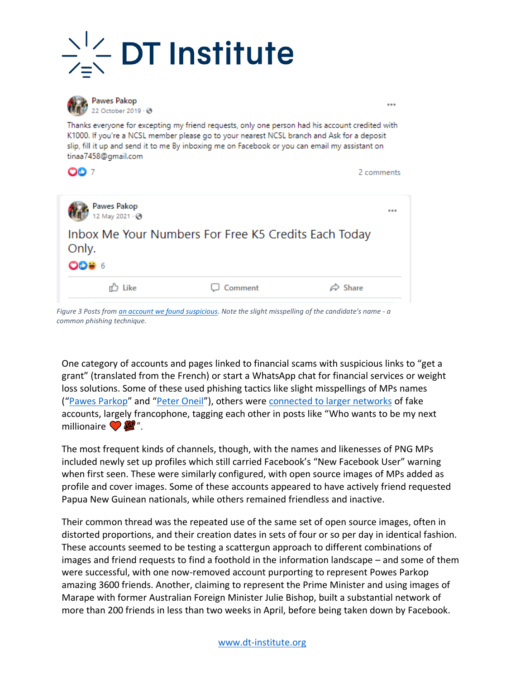



**Pawes Pakop** 22 October 2019 - @

Thanks everyone for excepting my friend requests, only one person had his account credited with K1000. If you're a NCSL member please go to your nearest NCSL branch and Ask for a deposit slip, fill it up and send it to me By inboxing me on Facebook or you can email my assistant on tinaa7458@gmail.com

...

2 comments

**OO** 7

| <b>Pawes Pakop</b><br>12 May 2021 - @ |                                                      |                     |
|---------------------------------------|------------------------------------------------------|---------------------|
| Only.<br><b>ODB 6</b>                 | Inbox Me Your Numbers For Free K5 Credits Each Today |                     |
| Like                                  | $\Box$ Comment                                       | $\varnothing$ Share |

<span id="page-11-0"></span>*Figure 3 Posts fro[m an account we found suspicious.](https://www.facebook.com/pawes.pakop) Note the slight misspelling of the candidate's name - a common phishing technique.*

One category of accounts and pages linked to financial scams with suspicious links to "get a grant" (translated from the French) or start a WhatsApp chat for financial services or weight loss solutions. Some of these used phishing tactics like slight misspellings of MPs names ("[Pawes Parkop](https://www.facebook.com/pawes.pakop)" and "[Peter Oneil](https://www.facebook.com/peter.oneil.3572/about)"), others were [connected to larger networks](https://www.facebook.com/profile.php?id=100079999080493) of fake accounts, largely francophone, tagging each other in posts like "Who wants to be my next millionaire  $\bigcirc$   $\mathscr{L}'$ .

The most frequent kinds of channels, though, with the names and likenesses of PNG MPs included newly set up profiles which still carried Facebook's "New Facebook User" warning when first seen. These were similarly configured, with open source images of MPs added as profile and cover images. Some of these accounts appeared to have actively friend requested Papua New Guinean nationals, while others remained friendless and inactive.

Their common thread was the repeated use of the same set of open source images, often in distorted proportions, and their creation dates in sets of four or so per day in identical fashion. These accounts seemed to be testing a scattergun approach to different combinations of images and friend requests to find a foothold in the information landscape – and some of them were successful, with one now-removed account purporting to represent Powes Parkop amazing 3600 friends. Another, claiming to represent the Prime Minister and using images of Marape with former Australian Foreign Minister Julie Bishop, built a substantial network of more than 200 friends in less than two weeks in April, before being taken down by Facebook.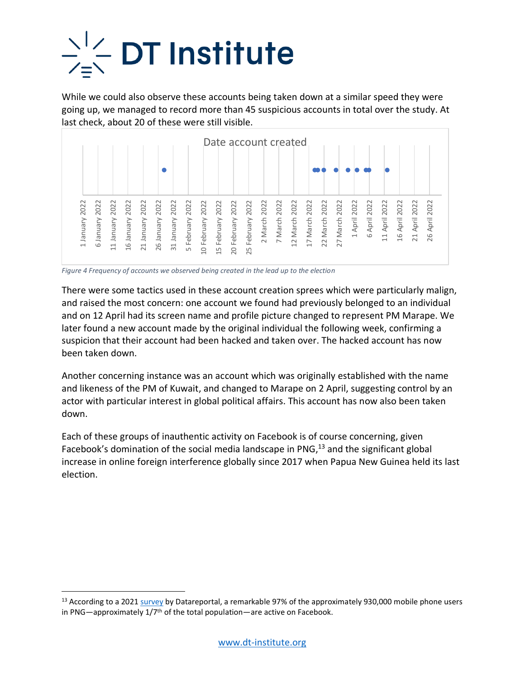

While we could also observe these accounts being taken down at a similar speed they were going up, we managed to record more than 45 suspicious accounts in total over the study. At last check, about 20 of these were still visible.

|                                                                                                                  |                                                                                                        | Date account created                                                                                                                                           |                                                                                                                                                                                                                                                                |                     |
|------------------------------------------------------------------------------------------------------------------|--------------------------------------------------------------------------------------------------------|----------------------------------------------------------------------------------------------------------------------------------------------------------------|----------------------------------------------------------------------------------------------------------------------------------------------------------------------------------------------------------------------------------------------------------------|---------------------|
|                                                                                                                  |                                                                                                        |                                                                                                                                                                |                                                                                                                                                                                                                                                                |                     |
| 2022<br>2022<br>2022<br>2022<br>1 January<br>Vienuer<br>January<br>January<br>$\circ$<br>$\frac{1}{6}$<br>$\Box$ | 2022<br>2022<br>2022<br>2022<br>January<br>January<br>31 January<br>February<br>26<br>21<br>$\sqrt{ }$ | 2022<br>2022<br>2022<br>2022<br>2022<br>2022<br>March<br>March<br>February<br>February<br>February<br>February<br>$\sim$<br>$\sim$<br>$\Box$<br>15<br>20<br>25 | 2022<br>2022<br>2022<br>2022<br>2022<br>2022<br>2022<br>2022<br>2022<br>April:<br>April<br>April<br>April<br>1 April<br>March<br>March<br>March<br>March<br>$\circ$<br>$\frac{1}{6}$<br>$\overline{11}$<br>21<br>27<br>$\overline{c}$<br>22<br>$\overline{17}$ | 2022<br>April<br>26 |

*Figure 4 Frequency of accounts we observed being created in the lead up to the election*

There were some tactics used in these account creation sprees which were particularly malign, and raised the most concern: one account we found had previously belonged to an individual and on 12 April had its screen name and profile picture changed to represent PM Marape. We later found a new account made by the original individual the following week, confirming a suspicion that their account had been hacked and taken over. The hacked account has now been taken down. Best and raised the most concern is a second test of the end up to the end up to the approximate of the section of the social method of the section of account term is a concerned in the lead up to the election and raised

Another concerning instance was an account which was originally established with the name and likeness of the PM of Kuwait, and changed to Marape on 2 April, suggesting control by an actor with particular interest in global political affairs. This account has now also been taken down.

Each of these groups of inauthentic activity on Facebook is of course concerning, given Facebook's domination of the social media landscape in PNG,<sup>13</sup> and the significant global increase in online foreign interference globally since 2017 when Papua New Guinea held its last election.

<sup>&</sup>lt;sup>13</sup> According to a 2021 [survey](https://datareportal.com/reports/digital-2021-papua-new-guinea) by Datareportal, a remarkable 97% of the approximately 930,000 mobile phone users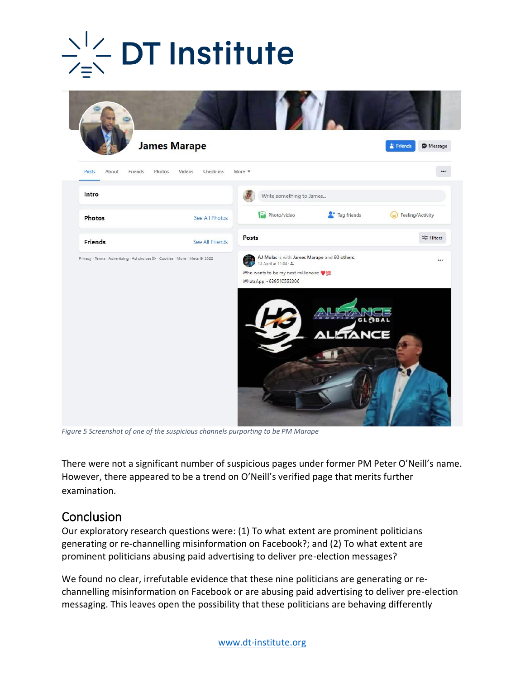## **DT Institute**



*Figure 5 Screenshot of one of the suspicious channels purporting to be PM Marape*

<span id="page-13-0"></span>There were not a significant number of suspicious pages under former PM Peter O'Neill's name. However, there appeared to be a trend on O'Neill's verified page that merits further examination.

### Conclusion

Our exploratory research questions were: (1) To what extent are prominent politicians generating or re-channelling misinformation on Facebook?; and (2) To what extent are prominent politicians abusing paid advertising to deliver pre-election messages?

We found no clear, irrefutable evidence that these nine politicians are generating or rechannelling misinformation on Facebook or are abusing paid advertising to deliver pre-election messaging. This leaves open the possibility that these politicians are behaving differently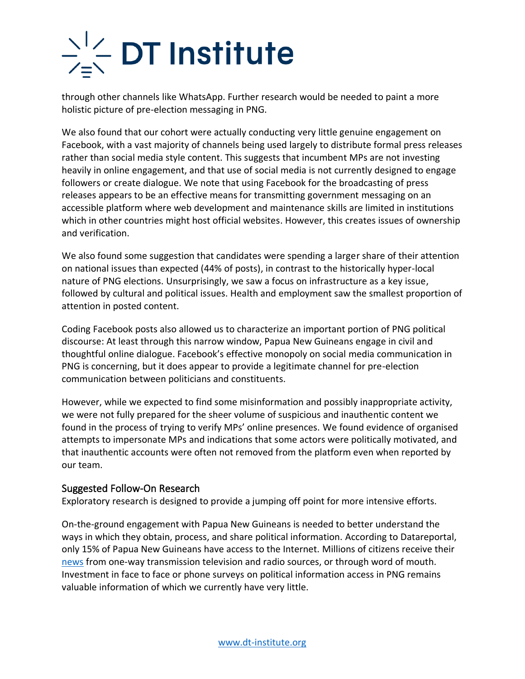# $\sum_{i=1}^{n}$  DT Institute

through other channels like WhatsApp. Further research would be needed to paint a more holistic picture of pre-election messaging in PNG.

We also found that our cohort were actually conducting very little genuine engagement on Facebook, with a vast majority of channels being used largely to distribute formal press releases rather than social media style content. This suggests that incumbent MPs are not investing heavily in online engagement, and that use of social media is not currently designed to engage followers or create dialogue. We note that using Facebook for the broadcasting of press releases appears to be an effective means for transmitting government messaging on an accessible platform where web development and maintenance skills are limited in institutions which in other countries might host official websites. However, this creates issues of ownership and verification.

We also found some suggestion that candidates were spending a larger share of their attention on national issues than expected (44% of posts), in contrast to the historically hyper-local nature of PNG elections. Unsurprisingly, we saw a focus on infrastructure as a key issue, followed by cultural and political issues. Health and employment saw the smallest proportion of attention in posted content.

Coding Facebook posts also allowed us to characterize an important portion of PNG political discourse: At least through this narrow window, Papua New Guineans engage in civil and thoughtful online dialogue. Facebook's effective monopoly on social media communication in PNG is concerning, but it does appear to provide a legitimate channel for pre-election communication between politicians and constituents.

However, while we expected to find some misinformation and possibly inappropriate activity, we were not fully prepared for the sheer volume of suspicious and inauthentic content we found in the process of trying to verify MPs' online presences. We found evidence of organised attempts to impersonate MPs and indications that some actors were politically motivated, and that inauthentic accounts were often not removed from the platform even when reported by our team.

#### Suggested Follow-On Research

Exploratory research is designed to provide a jumping off point for more intensive efforts.

On-the-ground engagement with Papua New Guineans is needed to better understand the ways in which they obtain, process, and share political information. According to Datareportal, only 15% of Papua New Guineans have access to the Internet. Millions of citizens receive their [news](https://www.lowyinstitute.org/the-interpreter/papua-new-guinea-s-untold-media-freedom-challenge) from one-way transmission television and radio sources, or through word of mouth. Investment in face to face or phone surveys on political information access in PNG remains valuable information of which we currently have very little.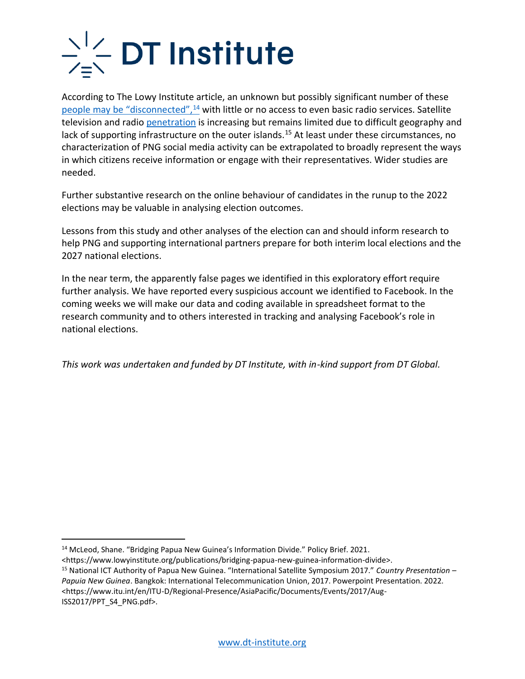## $\frac{1}{\sqrt{2}}$  DT Institute

According to The Lowy Institute article, an unknown but possibly significant number of these [people may be "disconnected"](https://www.lowyinstitute.org/publications/bridging-papua-new-guinea-information-divide),<sup>14</sup> with little or no access to even basic radio services. Satellite television and radio [penetration](https://www.itu.int/en/ITU-D/Regional-Presence/AsiaPacific/Documents/Events/2017/Aug-ISS2017/PPT_S4_PNG.pdf) is increasing but remains limited due to difficult geography and lack of supporting infrastructure on the outer islands.<sup>15</sup> At least under these circumstances, no characterization of PNG social media activity can be extrapolated to broadly represent the ways in which citizens receive information or engage with their representatives. Wider studies are needed.

Further substantive research on the online behaviour of candidates in the runup to the 2022 elections may be valuable in analysing election outcomes.

Lessons from this study and other analyses of the election can and should inform research to help PNG and supporting international partners prepare for both interim local elections and the 2027 national elections.

In the near term, the apparently false pages we identified in this exploratory effort require further analysis. We have reported every suspicious account we identified to Facebook. In the coming weeks we will make our data and coding available in spreadsheet format to the research community and to others interested in tracking and analysing Facebook's role in national elections.

*This work was undertaken and funded by DT Institute, with in-kind support from DT Global.*

ISS2017/PPT\_S4\_PNG.pdf>.

<sup>&</sup>lt;sup>14</sup> McLeod, Shane. "Bridging Papua New Guinea's Information Divide." Policy Brief. 2021.

<sup>&</sup>lt;https://www.lowyinstitute.org/publications/bridging-papua-new-guinea-information-divide>.

<sup>15</sup> National ICT Authority of Papua New Guinea. "International Satellite Symposium 2017." *Country Presentation – Papuia New Guinea*. Bangkok: International Telecommunication Union, 2017. Powerpoint Presentation. 2022. <https://www.itu.int/en/ITU-D/Regional-Presence/AsiaPacific/Documents/Events/2017/Aug-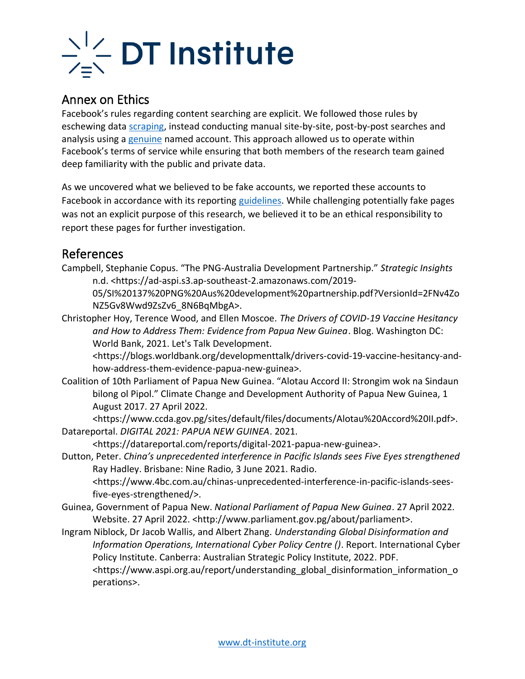

### Annex on Ethics

Facebook's rules regarding content searching are explicit. We followed those rules by eschewing data [scraping,](https://about.fb.com/news/2021/04/how-we-combat-scraping/) instead conducting manual site-by-site, post-by-post searches and analysis using [a genuine](https://www.facebook.com/terms.php?ref=pf) named account. This approach allowed us to operate within Facebook's terms of service while ensuring that both members of the research team gained deep familiarity with the public and private data.

As we uncovered what we believed to be fake accounts, we reported these accounts to Facebook in accordance with its reporting [guidelines.](https://www.facebook.com/help/306643639690823) While challenging potentially fake pages was not an explicit purpose of this research, we believed it to be an ethical responsibility to report these pages for further investigation.

### References

Campbell, Stephanie Copus. "The PNG-Australia Development Partnership." *Strategic Insights* n.d. <https://ad-aspi.s3.ap-southeast-2.amazonaws.com/2019-

05/SI%20137%20PNG%20Aus%20development%20partnership.pdf?VersionId=2FNv4Zo NZ5Gv8Wwd9ZsZv6\_8N6BqMbgA>.

Christopher Hoy, Terence Wood, and Ellen Moscoe. *The Drivers of COVID-19 Vaccine Hesitancy and How to Address Them: Evidence from Papua New Guinea*. Blog. Washington DC: World Bank, 2021. Let's Talk Development.

<https://blogs.worldbank.org/developmenttalk/drivers-covid-19-vaccine-hesitancy-andhow-address-them-evidence-papua-new-guinea>.

Coalition of 10th Parliament of Papua New Guinea. "Alotau Accord II: Strongim wok na Sindaun bilong ol Pipol." Climate Change and Development Authority of Papua New Guinea, 1 August 2017. 27 April 2022.

<https://www.ccda.gov.pg/sites/default/files/documents/Alotau%20Accord%20II.pdf>. Datareportal. *DIGITAL 2021: PAPUA NEW GUINEA*. 2021.

<https://datareportal.com/reports/digital-2021-papua-new-guinea>.

Dutton, Peter. *China's unprecedented interference in Pacific Islands sees Five Eyes strengthened* Ray Hadley. Brisbane: Nine Radio, 3 June 2021. Radio.

<https://www.4bc.com.au/chinas-unprecedented-interference-in-pacific-islands-seesfive-eyes-strengthened/>.

Guinea, Government of Papua New. *National Parliament of Papua New Guinea*. 27 April 2022. Website. 27 April 2022. <http://www.parliament.gov.pg/about/parliament>.

Ingram Niblock, Dr Jacob Wallis, and Albert Zhang. *Understanding Global Disinformation and Information Operations, International Cyber Policy Centre ()*. Report. International Cyber Policy Institute. Canberra: Australian Strategic Policy Institute, 2022. PDF. <https://www.aspi.org.au/report/understanding\_global\_disinformation\_information\_o perations>.